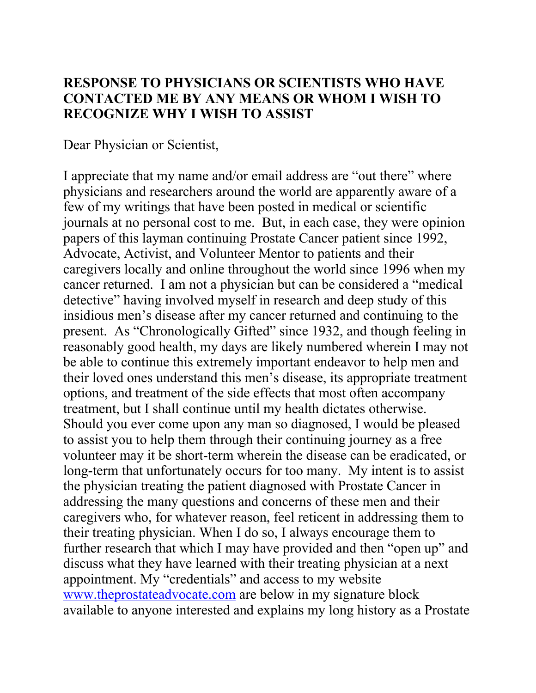#### **RESPONSE TO PHYSICIANS OR SCIENTISTS WHO HAVE CONTACTED ME BY ANY MEANS OR WHOM I WISH TO RECOGNIZE WHY I WISH TO ASSIST**

Dear Physician or Scientist,

I appreciate that my name and/or email address are "out there" where physicians and researchers around the world are apparently aware of a few of my writings that have been posted in medical or scientific journals at no personal cost to me. But, in each case, they were opinion papers of this layman continuing Prostate Cancer patient since 1992, Advocate, Activist, and Volunteer Mentor to patients and their caregivers locally and online throughout the world since 1996 when my cancer returned. I am not a physician but can be considered a "medical detective" having involved myself in research and deep study of this insidious men's disease after my cancer returned and continuing to the present. As "Chronologically Gifted" since 1932, and though feeling in reasonably good health, my days are likely numbered wherein I may not be able to continue this extremely important endeavor to help men and their loved ones understand this men's disease, its appropriate treatment options, and treatment of the side effects that most often accompany treatment, but I shall continue until my health dictates otherwise. Should you ever come upon any man so diagnosed, I would be pleased to assist you to help them through their continuing journey as a free volunteer may it be short-term wherein the disease can be eradicated, or long-term that unfortunately occurs for too many. My intent is to assist the physician treating the patient diagnosed with Prostate Cancer in addressing the many questions and concerns of these men and their caregivers who, for whatever reason, feel reticent in addressing them to their treating physician. When I do so, I always encourage them to further research that which I may have provided and then "open up" and discuss what they have learned with their treating physician at a next appointment. My "credentials" and access to my website www.theprostateadvocate.com are below in my signature block available to anyone interested and explains my long history as a Prostate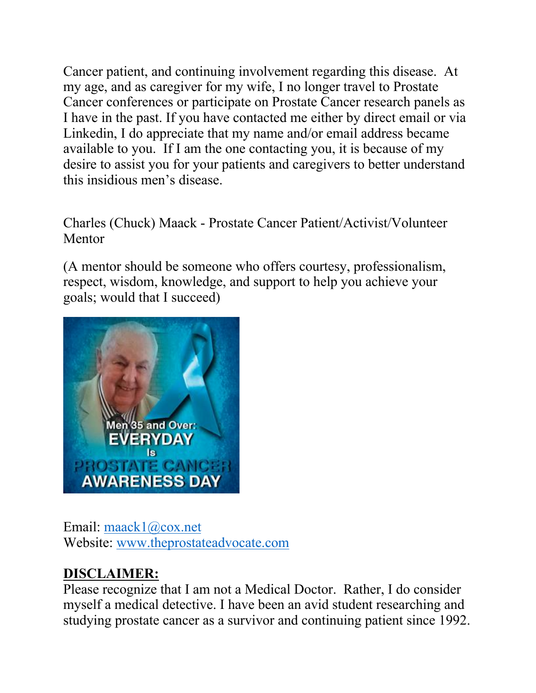Cancer patient, and continuing involvement regarding this disease. At my age, and as caregiver for my wife, I no longer travel to Prostate Cancer conferences or participate on Prostate Cancer research panels as I have in the past. If you have contacted me either by direct email or via Linkedin, I do appreciate that my name and/or email address became available to you. If I am the one contacting you, it is because of my desire to assist you for your patients and caregivers to better understand this insidious men's disease.

Charles (Chuck) Maack - Prostate Cancer Patient/Activist/Volunteer Mentor

(A mentor should be someone who offers courtesy, professionalism, respect, wisdom, knowledge, and support to help you achieve your goals; would that I succeed)



Email: maack1@cox.net Website: www.theprostateadvocate.com

# **DISCLAIMER:**

Please recognize that I am not a Medical Doctor. Rather, I do consider myself a medical detective. I have been an avid student researching and studying prostate cancer as a survivor and continuing patient since 1992.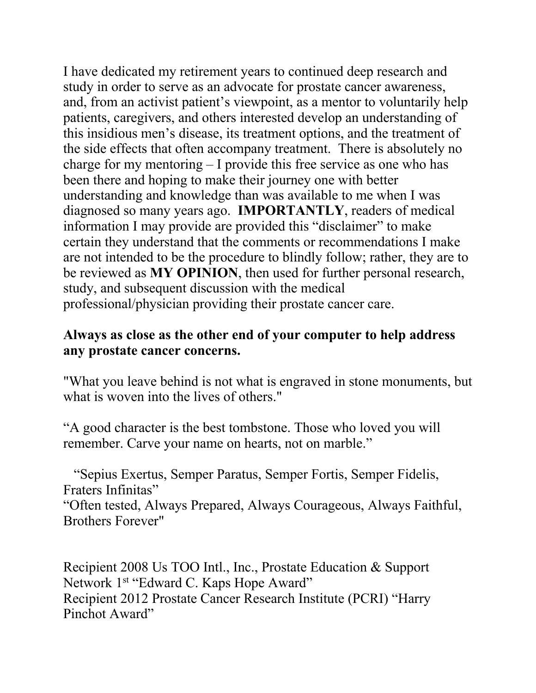I have dedicated my retirement years to continued deep research and study in order to serve as an advocate for prostate cancer awareness, and, from an activist patient's viewpoint, as a mentor to voluntarily help patients, caregivers, and others interested develop an understanding of this insidious men's disease, its treatment options, and the treatment of the side effects that often accompany treatment. There is absolutely no charge for my mentoring – I provide this free service as one who has been there and hoping to make their journey one with better understanding and knowledge than was available to me when I was diagnosed so many years ago. **IMPORTANTLY**, readers of medical information I may provide are provided this "disclaimer" to make certain they understand that the comments or recommendations I make are not intended to be the procedure to blindly follow; rather, they are to be reviewed as **MY OPINION**, then used for further personal research, study, and subsequent discussion with the medical professional/physician providing their prostate cancer care.

### **Always as close as the other end of your computer to help address any prostate cancer concerns.**

"What you leave behind is not what is engraved in stone monuments, but what is woven into the lives of others."

"A good character is the best tombstone. Those who loved you will remember. Carve your name on hearts, not on marble."

 "Sepius Exertus, Semper Paratus, Semper Fortis, Semper Fidelis, Fraters Infinitas" "Often tested, Always Prepared, Always Courageous, Always Faithful, Brothers Forever"

Recipient 2008 Us TOO Intl., Inc., Prostate Education & Support Network 1st "Edward C. Kaps Hope Award" Recipient 2012 Prostate Cancer Research Institute (PCRI) "Harry Pinchot Award"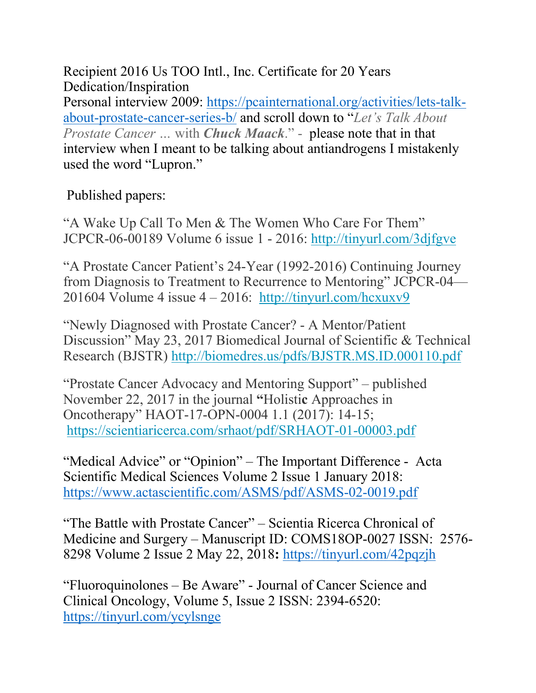Recipient 2016 Us TOO Intl., Inc. Certificate for 20 Years Dedication/Inspiration Personal interview 2009: https://pcainternational.org/activities/lets-talkabout-prostate-cancer-series-b/ and scroll down to "*Let's Talk About Prostate Cancer …* with *Chuck Maack*." - please note that in that interview when I meant to be talking about antiandrogens I mistakenly used the word "Lupron."

## Published papers:

"A Wake Up Call To Men & The Women Who Care For Them" JCPCR-06-00189 Volume 6 issue 1 - 2016: http://tinyurl.com/3djfgve

"A Prostate Cancer Patient's 24-Year (1992-2016) Continuing Journey from Diagnosis to Treatment to Recurrence to Mentoring" JCPCR-04— 201604 Volume 4 issue  $4 - 2016$ : http://tinyurl.com/hcxuxv9

"Newly Diagnosed with Prostate Cancer? - A Mentor/Patient Discussion" May 23, 2017 Biomedical Journal of Scientific & Technical Research (BJSTR) http://biomedres.us/pdfs/BJSTR.MS.ID.000110.pdf

"Prostate Cancer Advocacy and Mentoring Support" – published November 22, 2017 in the journal **"**Holisti**c** Approaches in Oncotherapy" HAOT-17-OPN-0004 1.1 (2017): 14-15; https://scientiaricerca.com/srhaot/pdf/SRHAOT-01-00003.pdf

"Medical Advice" or "Opinion" – The Important Difference - Acta Scientific Medical Sciences Volume 2 Issue 1 January 2018: https://www.actascientific.com/ASMS/pdf/ASMS-02-0019.pdf

"The Battle with Prostate Cancer" – Scientia Ricerca Chronical of Medicine and Surgery – Manuscript ID: COMS18OP-0027 ISSN: 2576- 8298 Volume 2 Issue 2 May 22, 2018**:** https://tinyurl.com/42pqzjh

"Fluoroquinolones – Be Aware" - Journal of Cancer Science and Clinical Oncology, Volume 5, Issue 2 ISSN: 2394-6520: https://tinyurl.com/ycylsnge